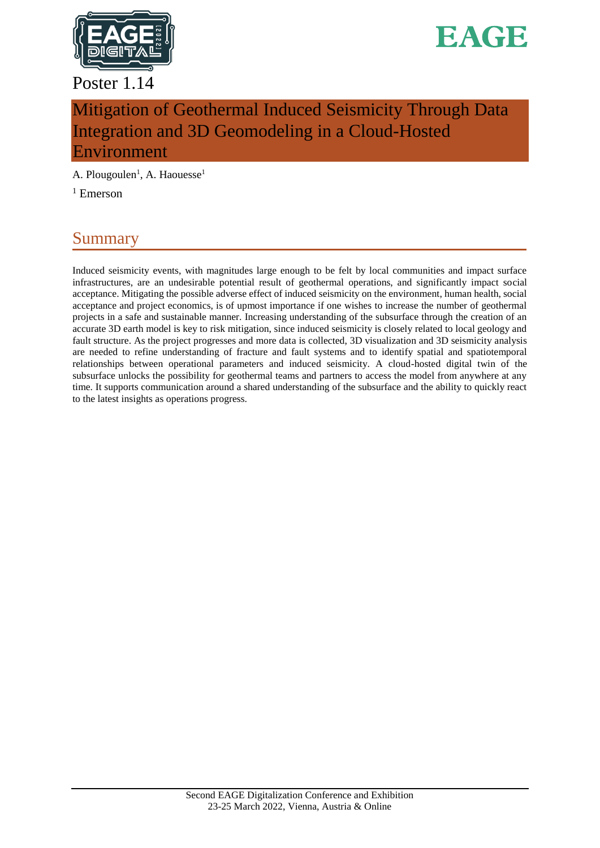

### Poster 1.14



# Mitigation of Geothermal Induced Seismicity Through Data Integration and 3D Geomodeling in a Cloud-Hosted Environment

A. Plougoulen<sup>1</sup>, A. Haouesse<sup>1</sup>

 $1$  Emerson

## Summary

Induced seismicity events, with magnitudes large enough to be felt by local communities and impact surface infrastructures, are an undesirable potential result of geothermal operations, and significantly impact social acceptance. Mitigating the possible adverse effect of induced seismicity on the environment, human health, social acceptance and project economics, is of upmost importance if one wishes to increase the number of geothermal projects in a safe and sustainable manner. Increasing understanding of the subsurface through the creation of an accurate 3D earth model is key to risk mitigation, since induced seismicity is closely related to local geology and fault structure. As the project progresses and more data is collected, 3D visualization and 3D seismicity analysis are needed to refine understanding of fracture and fault systems and to identify spatial and spatiotemporal relationships between operational parameters and induced seismicity. A cloud-hosted digital twin of the subsurface unlocks the possibility for geothermal teams and partners to access the model from anywhere at any time. It supports communication around a shared understanding of the subsurface and the ability to quickly react to the latest insights as operations progress.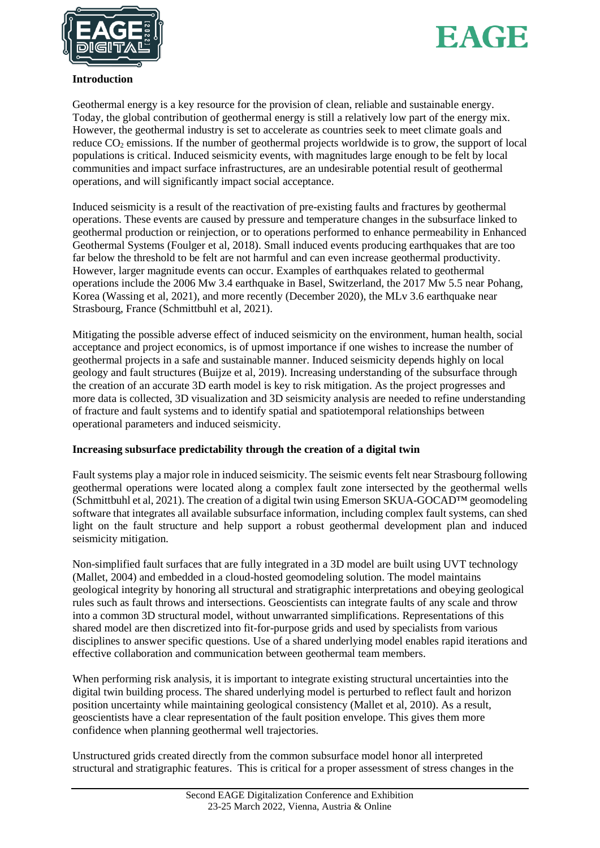



#### **Introduction**

Geothermal energy is a key resource for the provision of clean, reliable and sustainable energy. Today, the global contribution of geothermal energy is still a relatively low part of the energy mix. However, the geothermal industry is set to accelerate as countries seek to meet climate goals and reduce  $CO_2$  emissions. If the number of geothermal projects worldwide is to grow, the support of local populations is critical. Induced seismicity events, with magnitudes large enough to be felt by local communities and impact surface infrastructures, are an undesirable potential result of geothermal operations, and will significantly impact social acceptance.

Induced seismicity is a result of the reactivation of pre-existing faults and fractures by geothermal operations. These events are caused by pressure and temperature changes in the subsurface linked to geothermal production or reinjection, or to operations performed to enhance permeability in Enhanced Geothermal Systems (Foulger et al, 2018). Small induced events producing earthquakes that are too far below the threshold to be felt are not harmful and can even increase geothermal productivity. However, larger magnitude events can occur. Examples of earthquakes related to geothermal operations include the 2006 Mw 3.4 earthquake in Basel, Switzerland, the 2017 Mw 5.5 near Pohang, Korea (Wassing et al, 2021), and more recently (December 2020), the MLv 3.6 earthquake near Strasbourg, France (Schmittbuhl et al, 2021).

Mitigating the possible adverse effect of induced seismicity on the environment, human health, social acceptance and project economics, is of upmost importance if one wishes to increase the number of geothermal projects in a safe and sustainable manner. Induced seismicity depends highly on local geology and fault structures (Buijze et al, 2019). Increasing understanding of the subsurface through the creation of an accurate 3D earth model is key to risk mitigation. As the project progresses and more data is collected, 3D visualization and 3D seismicity analysis are needed to refine understanding of fracture and fault systems and to identify spatial and spatiotemporal relationships between operational parameters and induced seismicity.

#### **Increasing subsurface predictability through the creation of a digital twin**

Fault systems play a major role in induced seismicity. The seismic events felt near Strasbourg following geothermal operations were located along a complex fault zone intersected by the geothermal wells (Schmittbuhl et al, 2021). The creation of a digital twin using Emerson SKUA-GOCAD™ geomodeling software that integrates all available subsurface information, including complex fault systems, can shed light on the fault structure and help support a robust geothermal development plan and induced seismicity mitigation.

Non-simplified fault surfaces that are fully integrated in a 3D model are built using UVT technology (Mallet, 2004) and embedded in a cloud-hosted geomodeling solution. The model maintains geological integrity by honoring all structural and stratigraphic interpretations and obeying geological rules such as fault throws and intersections. Geoscientists can integrate faults of any scale and throw into a common 3D structural model, without unwarranted simplifications. Representations of this shared model are then discretized into fit-for-purpose grids and used by specialists from various disciplines to answer specific questions. Use of a shared underlying model enables rapid iterations and effective collaboration and communication between geothermal team members.

When performing risk analysis, it is important to integrate existing structural uncertainties into the digital twin building process. The shared underlying model is perturbed to reflect fault and horizon position uncertainty while maintaining geological consistency (Mallet et al, 2010). As a result, geoscientists have a clear representation of the fault position envelope. This gives them more confidence when planning geothermal well trajectories.

Unstructured grids created directly from the common subsurface model honor all interpreted structural and stratigraphic features. This is critical for a proper assessment of stress changes in the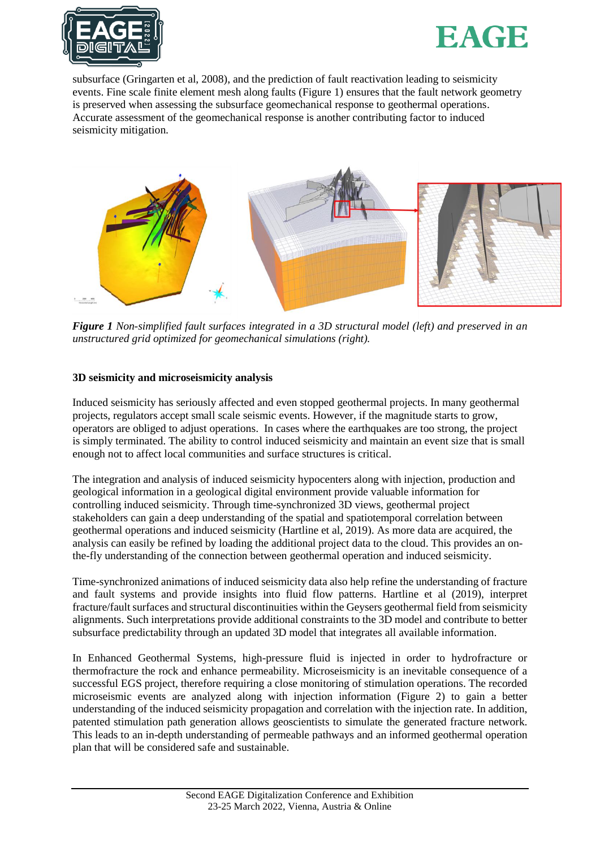



subsurface (Gringarten et al, 2008), and the prediction of fault reactivation leading to seismicity events. Fine scale finite element mesh along faults (Figure 1) ensures that the fault network geometry is preserved when assessing the subsurface geomechanical response to geothermal operations. Accurate assessment of the geomechanical response is another contributing factor to induced seismicity mitigation.



*Figure 1 Non-simplified fault surfaces integrated in a 3D structural model (left) and preserved in an unstructured grid optimized for geomechanical simulations (right).*

#### **3D seismicity and microseismicity analysis**

Induced seismicity has seriously affected and even stopped geothermal projects. In many geothermal projects, regulators accept small scale seismic events. However, if the magnitude starts to grow, operators are obliged to adjust operations. In cases where the earthquakes are too strong, the project is simply terminated. The ability to control induced seismicity and maintain an event size that is small enough not to affect local communities and surface structures is critical.

The integration and analysis of induced seismicity hypocenters along with injection, production and geological information in a geological digital environment provide valuable information for controlling induced seismicity. Through time-synchronized 3D views, geothermal project stakeholders can gain a deep understanding of the spatial and spatiotemporal correlation between geothermal operations and induced seismicity (Hartline et al, 2019). As more data are acquired, the analysis can easily be refined by loading the additional project data to the cloud. This provides an onthe-fly understanding of the connection between geothermal operation and induced seismicity.

Time-synchronized animations of induced seismicity data also help refine the understanding of fracture and fault systems and provide insights into fluid flow patterns. Hartline et al (2019), interpret fracture/fault surfaces and structural discontinuities within the Geysers geothermal field from seismicity alignments. Such interpretations provide additional constraints to the 3D model and contribute to better subsurface predictability through an updated 3D model that integrates all available information.

In Enhanced Geothermal Systems, high-pressure fluid is injected in order to hydrofracture or thermofracture the rock and enhance permeability. Microseismicity is an inevitable consequence of a successful EGS project, therefore requiring a close monitoring of stimulation operations. The recorded microseismic events are analyzed along with injection information (Figure 2) to gain a better understanding of the induced seismicity propagation and correlation with the injection rate. In addition, patented stimulation path generation allows geoscientists to simulate the generated fracture network. This leads to an in-depth understanding of permeable pathways and an informed geothermal operation plan that will be considered safe and sustainable.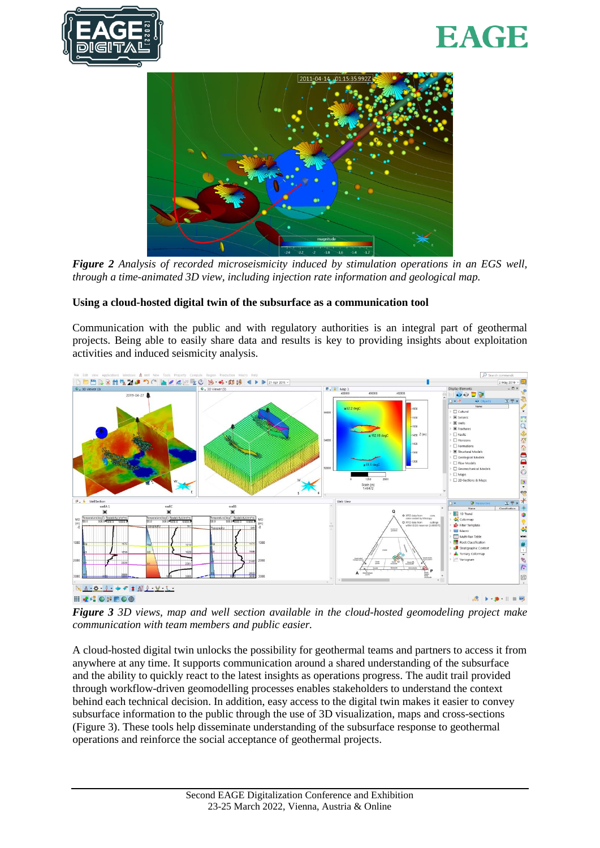





*Figure 2 Analysis of recorded microseismicity induced by stimulation operations in an EGS well, through a time-animated 3D view, including injection rate information and geological map.*

#### **Using a cloud-hosted digital twin of the subsurface as a communication tool**

Communication with the public and with regulatory authorities is an integral part of geothermal projects. Being able to easily share data and results is key to providing insights about exploitation activities and induced seismicity analysis.



*Figure 3 3D views, map and well section available in the cloud-hosted geomodeling project make communication with team members and public easier.*

A cloud-hosted digital twin unlocks the possibility for geothermal teams and partners to access it from anywhere at any time. It supports communication around a shared understanding of the subsurface and the ability to quickly react to the latest insights as operations progress. The audit trail provided through workflow-driven geomodelling processes enables stakeholders to understand the context behind each technical decision. In addition, easy access to the digital twin makes it easier to convey subsurface information to the public through the use of 3D visualization, maps and cross-sections (Figure 3). These tools help disseminate understanding of the subsurface response to geothermal operations and reinforce the social acceptance of geothermal projects.